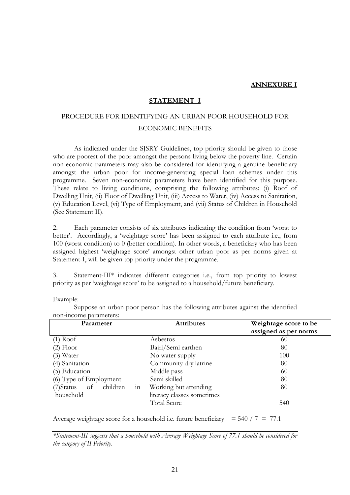### **ANNEXURE I**

## **STATEMENT I**

# PROCEDURE FOR IDENTIFYING AN URBAN POOR HOUSEHOLD FOR ECONOMIC BENEFITS

 As indicated under the SJSRY Guidelines, top priority should be given to those who are poorest of the poor amongst the persons living below the poverty line. Certain non-economic parameters may also be considered for identifying a genuine beneficiary amongst the urban poor for income-generating special loan schemes under this programme. Seven non-economic parameters have been identified for this purpose. These relate to living conditions, comprising the following attributes: (i) Roof of Dwelling Unit, (ii) Floor of Dwelling Unit, (iii) Access to Water, (iv) Access to Sanitation, (v) Education Level, (vi) Type of Employment, and (vii) Status of Children in Household (See Statement II).

2. Each parameter consists of six attributes indicating the condition from 'worst to better'. Accordingly, a 'weightage score' has been assigned to each attribute i.e., from 100 (worst condition) to 0 (better condition). In other words, a beneficiary who has been assigned highest 'weightage score' amongst other urban poor as per norms given at Statement-I, will be given top priority under the programme.

3. Statement-III\* indicates different categories i.e., from top priority to lowest priority as per 'weightage score' to be assigned to a household/future beneficiary.

| ханние. |  |
|---------|--|
|         |  |

| Parameter                    | <b>Attributes</b>          | Weightage score to be<br>assigned as per norms |
|------------------------------|----------------------------|------------------------------------------------|
| $(1)$ Roof                   | Asbestos                   | 60                                             |
| $(2)$ Floor                  | Bajri/Semi earthen         | 80                                             |
| $(3)$ Water                  | No water supply            | 100                                            |
| (4) Sanitation               | Community dry latrine      | 80                                             |
| (5) Education                | Middle pass                | 60                                             |
| (6) Type of Employment       | Semi skilled               | 80                                             |
| in<br>(7) Status of children | Working but attending      | 80                                             |
| household                    | literacy classes sometimes |                                                |
|                              | <b>Total Score</b>         | 540                                            |

 Suppose an urban poor person has the following attributes against the identified non-income parameters:

Average weightage score for a household i.e. future beneficiary =  $540 / 7 = 77.1$ 

*\*Statement-III suggests that a household with Average Weightage Score of 77.1 should be considered for the category of II Priority*.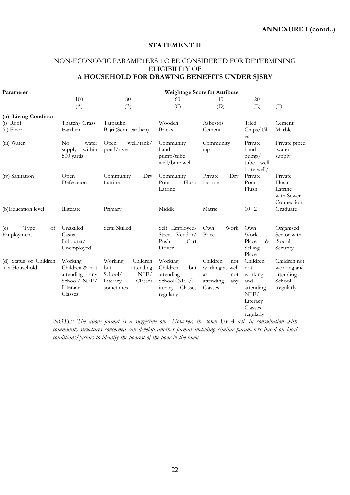## **STATEMENT II**

## NON-ECONOMIC PARAMETERS TO BE CONSIDERED FOR DETERMINING ELIGIBILITY OF **A HOUSEHOLD FOR DRAWING BENEFITS UNDER SJSRY**

| Parameter                                          | <b>Weightage Score for Attribute</b>                                                                                                                                       |                                                                                                          |                                                                                                    |                                                                                           |                                                                                                            |                                                                                                                                                  |  |  |
|----------------------------------------------------|----------------------------------------------------------------------------------------------------------------------------------------------------------------------------|----------------------------------------------------------------------------------------------------------|----------------------------------------------------------------------------------------------------|-------------------------------------------------------------------------------------------|------------------------------------------------------------------------------------------------------------|--------------------------------------------------------------------------------------------------------------------------------------------------|--|--|
|                                                    | 100                                                                                                                                                                        | 80                                                                                                       | 60                                                                                                 | 40                                                                                        | 20                                                                                                         | $\theta$                                                                                                                                         |  |  |
|                                                    | (A)                                                                                                                                                                        | (B)                                                                                                      | (C)                                                                                                | (D)                                                                                       | (E)                                                                                                        | (F)                                                                                                                                              |  |  |
| (a) Living Condition<br>$(i)$ Roof<br>$(ii)$ Floor | Thatch/ Grass<br>Earthen                                                                                                                                                   | Tarpaulin<br>Bajri (Semi-earthen)                                                                        | Wooden<br>Asbestos<br><b>Bricks</b><br>Cement                                                      |                                                                                           | Tiled<br>Chips/Til<br>es                                                                                   | Cement<br>Marble                                                                                                                                 |  |  |
| (iii) Water                                        | $\rm No$<br>water<br>within<br>supply<br>500 yards                                                                                                                         | well/tank/<br>Open<br>pond/river                                                                         | Community<br>hand<br>pump/tube<br>well/bore well                                                   | Community<br>tap                                                                          | Private<br>hand<br>pump/<br>tube well<br>bore well/                                                        | Private piped<br>water<br>supply                                                                                                                 |  |  |
| (iv) Sanitation                                    | Open<br>Defecation                                                                                                                                                         | Community<br>Dry<br>Latrine                                                                              | Community<br>Flush<br>Pour<br>Latrine                                                              | Private<br>$_{\rm{Dry}}$<br>Latrine                                                       | Private<br>Pour<br>Flush                                                                                   | Private<br>Flush<br>Latrine<br>with Sewer<br>Connection                                                                                          |  |  |
| (b) Education level                                | Illiterate                                                                                                                                                                 | Primary                                                                                                  | Middle                                                                                             | Matric                                                                                    | $10 + 2$                                                                                                   | Graduate                                                                                                                                         |  |  |
| Type<br>of<br>(c)<br>Employment                    | Unskilled<br>Casual<br>Labourer/<br>Unemployed                                                                                                                             | Semi Skilled                                                                                             | Self Employed-<br>Street Vendor/<br>Push<br>Cart<br>Driver                                         | Own<br>Work<br>Place                                                                      | Own<br>Work<br>Place<br>$\&$<br>Selling<br>Place                                                           | Organised<br>Sector with<br>Social<br>Security                                                                                                   |  |  |
| (d) Status of Children<br>in a Household           | Working<br>Children & not<br>attending<br>any<br>School/ NFE/<br>Literacy<br>Classes<br>$\lambda$ $\tau \wedge \tau \tau \tau \tau \qquad \tau \tau \tau \qquad \tau \tau$ | Working<br>Children<br>attending<br>but<br>NFE/<br>School/<br>Classes<br>Literacy<br>sometimes<br>$\sim$ | Working<br>Children<br>but<br>attending<br>School/NFE/L<br>iteracy Classes<br>regularly<br>$T$ $T$ | Children<br>not<br>working as well<br>as<br>not<br>attending<br>any<br>Classes<br>T T D A | Children<br>not<br>working<br>and<br>attending<br>NFE/<br>Literacy<br>Classes<br>regularly<br>$\mathbf{v}$ | Children not<br>working and<br>attending<br>School<br>regularly<br>$\mathbf{z}$ $\mathbf{z}$ $\mathbf{z}$ $\mathbf{z}$ $\mathbf{z}$ $\mathbf{z}$ |  |  |

*NOTE: The above format is a suggestive one. However, the town UPA cell, in consultation with community structures concerned can develop another format including similar parameters based on local conditions/factors to identify the poorest of the poor in the town.*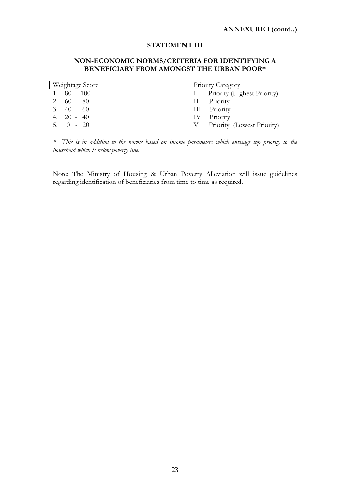#### **STATEMENT III**

## **NON-ECONOMIC NORMS/CRITERIA FOR IDENTIFYING A BENEFICIARY FROM AMONGST THE URBAN POOR\***

| Weightage Score  | Priority Category               |  |  |  |  |  |
|------------------|---------------------------------|--|--|--|--|--|
| $1. \t 80 - 100$ | Priority (Highest Priority)     |  |  |  |  |  |
| $2.60 - 80$      | II Priority                     |  |  |  |  |  |
| $3.40 - 60$      | III Priority                    |  |  |  |  |  |
| 4. 20 - 40       | IV Priority                     |  |  |  |  |  |
| $5. 0 - 20$      | Priority (Lowest Priority)<br>V |  |  |  |  |  |
|                  |                                 |  |  |  |  |  |

*\* This is in addition to the norms based on income parameters which envisage top priority to the household which is below poverty line.* 

Note: The Ministry of Housing & Urban Poverty Alleviation will issue guidelines regarding identification of beneficiaries from time to time as required**.**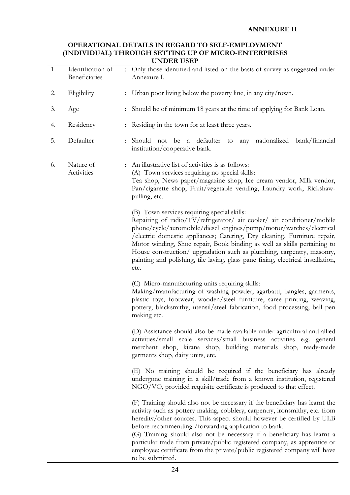## **OPERATIONAL DETAILS IN REGARD TO SELF-EMPLOYMENT (INDIVIDUAL) THROUGH SETTING UP OF MICRO-ENTERPRISES UNDER USEP**

| $\mathbf{1}$ | Identification of<br>Beneficiaries | UI DIN UULI<br>: Only those identified and listed on the basis of survey as suggested under<br>Annexure I.                                                                                                                                                                                                                                                                                                                                                                                                                                              |
|--------------|------------------------------------|---------------------------------------------------------------------------------------------------------------------------------------------------------------------------------------------------------------------------------------------------------------------------------------------------------------------------------------------------------------------------------------------------------------------------------------------------------------------------------------------------------------------------------------------------------|
|              |                                    |                                                                                                                                                                                                                                                                                                                                                                                                                                                                                                                                                         |
| 2.           | Eligibility                        | : Urban poor living below the poverty line, in any city/town.                                                                                                                                                                                                                                                                                                                                                                                                                                                                                           |
| 3.           | Age                                | : Should be of minimum 18 years at the time of applying for Bank Loan.                                                                                                                                                                                                                                                                                                                                                                                                                                                                                  |
| 4.           | Residency                          | : Residing in the town for at least three years.                                                                                                                                                                                                                                                                                                                                                                                                                                                                                                        |
| 5.           | Defaulter                          | : Should not be a defaulter to any nationalized bank/financial<br>institution/cooperative bank.                                                                                                                                                                                                                                                                                                                                                                                                                                                         |
| 6.           | Nature of<br>Activities            | : An illustrative list of activities is as follows:<br>(A) Town services requiring no special skills:<br>Tea shop, News paper/magazine shop, Ice cream vendor, Milk vendor,<br>Pan/cigarette shop, Fruit/vegetable vending, Laundry work, Rickshaw-<br>pulling, etc.                                                                                                                                                                                                                                                                                    |
|              |                                    | (B) Town services requiring special skills:<br>Repairing of radio/TV/refrigerator/ air cooler/ air conditioner/mobile<br>phone/cycle/automobile/diesel engines/pump/motor/watches/electrical<br>/electric domestic appliances; Catering, Dry cleaning, Furniture repair,<br>Motor winding, Shoe repair, Book binding as well as skills pertaining to<br>House construction/ upgradation such as plumbing, carpentry, masonry,<br>painting and polishing, tile laying, glass pane fixing, electrical installation,<br>etc.                               |
|              |                                    | (C) Micro-manufacturing units requiring skills:<br>Making/manufacturing of washing powder, agarbatti, bangles, garments,<br>plastic toys, footwear, wooden/steel furniture, saree printing, weaving,<br>pottery, blacksmithy, utensil/steel fabrication, food processing, ball pen<br>making etc.                                                                                                                                                                                                                                                       |
|              |                                    | (D) Assistance should also be made available under agricultural and allied<br>activities/small scale services/small business activities e.g. general<br>merchant shop, kirana shop, building materials shop, ready-made<br>garments shop, dairy units, etc.                                                                                                                                                                                                                                                                                             |
|              |                                    | (E) No training should be required if the beneficiary has already<br>undergone training in a skill/trade from a known institution, registered<br>NGO/VO, provided requisite certificate is produced to that effect.                                                                                                                                                                                                                                                                                                                                     |
|              |                                    | (F) Training should also not be necessary if the beneficiary has learnt the<br>activity such as pottery making, cobblery, carpentry, ironsmithy, etc. from<br>heredity/other sources. This aspect should however be certified by ULB<br>before recommending / forwarding application to bank.<br>(G) Training should also not be necessary if a beneficiary has learnt a<br>particular trade from private/public registered company, as apprentice or<br>employee; certificate from the private/public registered company will have<br>to be submitted. |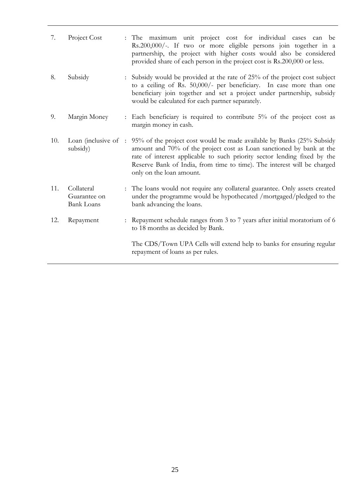| 7.  | Project Cost                                    | : The maximum unit project cost for individual cases can be<br>Rs.200,000/-. If two or more eligible persons join together in a<br>partnership, the project with higher costs would also be considered<br>provided share of each person in the project cost is Rs.200,000 or less.                                                                    |
|-----|-------------------------------------------------|-------------------------------------------------------------------------------------------------------------------------------------------------------------------------------------------------------------------------------------------------------------------------------------------------------------------------------------------------------|
| 8.  | Subsidy                                         | : Subsidy would be provided at the rate of 25% of the project cost subject<br>to a ceiling of Rs. 50,000/- per beneficiary. In case more than one<br>beneficiary join together and set a project under partnership, subsidy<br>would be calculated for each partner separately.                                                                       |
| 9.  | Margin Money                                    | Each beneficiary is required to contribute $5\%$ of the project cost as<br>margin money in cash.                                                                                                                                                                                                                                                      |
| 10. | subsidy)                                        | Loan (inclusive of : 95% of the project cost would be made available by Banks (25% Subsidy<br>amount and 70% of the project cost as Loan sanctioned by bank at the<br>rate of interest applicable to such priority sector lending fixed by the<br>Reserve Bank of India, from time to time). The interest will be charged<br>only on the loan amount. |
| 11. | Collateral<br>Guarantee on<br><b>Bank Loans</b> | : The loans would not require any collateral guarantee. Only assets created<br>under the programme would be hypothecated /mortgaged/pledged to the<br>bank advancing the loans.                                                                                                                                                                       |
| 12. | Repayment                                       | : Repayment schedule ranges from 3 to 7 years after initial moratorium of 6<br>to 18 months as decided by Bank.                                                                                                                                                                                                                                       |
|     |                                                 | The CDS/Town UPA Cells will extend help to banks for ensuring regular<br>repayment of loans as per rules.                                                                                                                                                                                                                                             |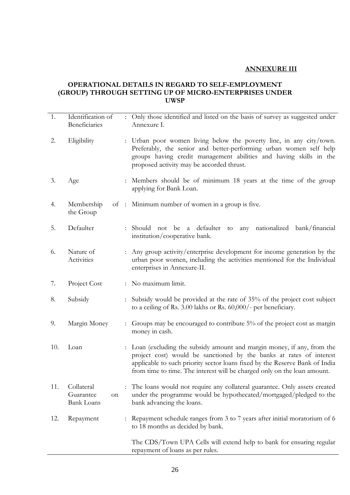# **ANNEXURE III**

## **OPERATIONAL DETAILS IN REGARD TO SELF-EMPLOYMENT (GROUP) THROUGH SETTING UP OF MICRO-ENTERPRISES UNDER UWSP**

| 1.  | Identification of<br>Beneficiaries                 | : Only those identified and listed on the basis of survey as suggested under<br>Annexure I.                                                                                                                                                                                                               |
|-----|----------------------------------------------------|-----------------------------------------------------------------------------------------------------------------------------------------------------------------------------------------------------------------------------------------------------------------------------------------------------------|
| 2.  | Eligibility                                        | : Urban poor women living below the poverty line, in any city/town.<br>Preferably, the senior and better-performing urban women self help<br>groups having credit management abilities and having skills in the<br>proposed activity may be accorded thrust.                                              |
| 3.  | Age                                                | : Members should be of minimum 18 years at the time of the group<br>applying for Bank Loan.                                                                                                                                                                                                               |
| 4.  | Membership<br>the Group                            | of : Minimum number of women in a group is five.                                                                                                                                                                                                                                                          |
| 5.  | Defaulter                                          | not be a defaulter<br>nationalized bank/financial<br>: Should<br>any<br>to<br>institution/cooperative bank.                                                                                                                                                                                               |
| 6.  | Nature of<br>Activities                            | : Any group activity/enterprise development for income generation by the<br>urban poor women, including the activities mentioned for the Individual<br>enterprises in Annexure-II.                                                                                                                        |
| 7.  | Project Cost                                       | : No maximum limit.                                                                                                                                                                                                                                                                                       |
| 8.  | Subsidy                                            | : Subsidy would be provided at the rate of 35% of the project cost subject<br>to a ceiling of Rs. 3.00 lakhs or Rs. 60,000/- per beneficiary.                                                                                                                                                             |
| 9.  | Margin Money                                       | Groups may be encouraged to contribute 5% of the project cost as margin<br>money in cash.                                                                                                                                                                                                                 |
| 10. | Loan                                               | : Loan (excluding the subsidy amount and margin money, if any, from the<br>project cost) would be sanctioned by the banks at rates of interest<br>applicable to such priority sector loans fixed by the Reserve Bank of India<br>from time to time. The interest will be charged only on the loan amount. |
| 11. | Collateral<br>Guarantee<br>on<br><b>Bank Loans</b> | The loans would not require any collateral guarantee. Only assets created<br>under the programme would be hypothecated/mortgaged/pledged to the<br>bank advancing the loans.                                                                                                                              |
| 12. | Repayment                                          | Repayment schedule ranges from 3 to 7 years after initial moratorium of 6<br>to 18 months as decided by bank.                                                                                                                                                                                             |
|     |                                                    | The CDS/Town UPA Cells will extend help to bank for ensuring regular<br>repayment of loans as per rules.                                                                                                                                                                                                  |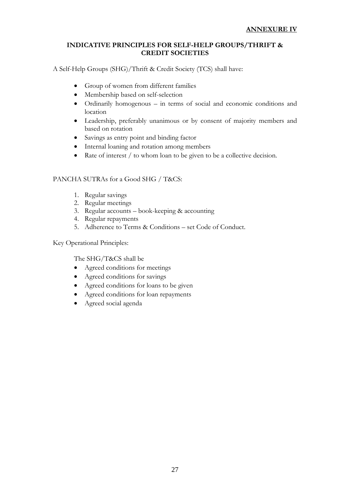## **INDICATIVE PRINCIPLES FOR SELF-HELP GROUPS/THRIFT & CREDIT SOCIETIES**

A Self-Help Groups (SHG)/Thrift & Credit Society (TCS) shall have:

- Group of women from different families
- Membership based on self-selection
- Ordinarily homogenous in terms of social and economic conditions and location
- Leadership, preferably unanimous or by consent of majority members and based on rotation
- Savings as entry point and binding factor
- Internal loaning and rotation among members
- Rate of interest / to whom loan to be given to be a collective decision.

## PANCHA SUTRAs for a Good SHG / T&CS:

- 1. Regular savings
- 2. Regular meetings
- 3. Regular accounts book-keeping & accounting
- 4. Regular repayments
- 5. Adherence to Terms & Conditions set Code of Conduct.

Key Operational Principles:

The SHG/T&CS shall be

- Agreed conditions for meetings
- Agreed conditions for savings
- Agreed conditions for loans to be given
- Agreed conditions for loan repayments
- Agreed social agenda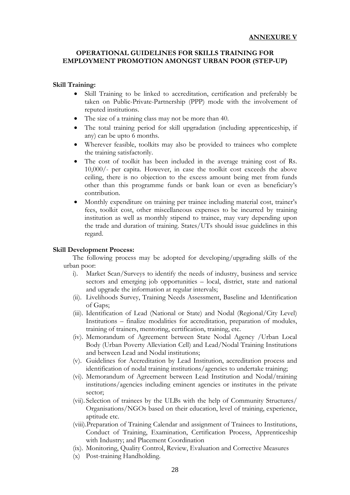#### **OPERATIONAL GUIDELINES FOR SKILLS TRAINING FOR EMPLOYMENT PROMOTION AMONGST URBAN POOR (STEP-UP)**

#### **Skill Training:**

- Skill Training to be linked to accreditation, certification and preferably be taken on Public-Private-Partnership (PPP) mode with the involvement of reputed institutions.
- The size of a training class may not be more than 40.
- The total training period for skill upgradation (including apprenticeship, if any) can be upto 6 months.
- Wherever feasible, toolkits may also be provided to trainees who complete the training satisfactorily.
- The cost of toolkit has been included in the average training cost of Rs. 10,000/- per capita. However, in case the toolkit cost exceeds the above ceiling, there is no objection to the excess amount being met from funds other than this programme funds or bank loan or even as beneficiary's contribution.
- Monthly expenditure on training per trainee including material cost, trainer's fees, toolkit cost, other miscellaneous expenses to be incurred by training institution as well as monthly stipend to trainee, may vary depending upon the trade and duration of training. States/UTs should issue guidelines in this regard.

#### **Skill Development Process:**

The following process may be adopted for developing/upgrading skills of the urban poor:

- i). Market Scan/Surveys to identify the needs of industry, business and service sectors and emerging job opportunities – local, district, state and national and upgrade the information at regular intervals;
- (ii). Livelihoods Survey, Training Needs Assessment, Baseline and Identification of Gaps;
- (iii). Identification of Lead (National or State) and Nodal (Regional/City Level) Institutions – finalize modalities for accreditation, preparation of modules, training of trainers, mentoring, certification, training, etc.
- (iv). Memorandum of Agreement between State Nodal Agency /Urban Local Body (Urban Poverty Alleviation Cell) and Lead/Nodal Training Institutions and between Lead and Nodal institutions;
- (v). Guidelines for Accreditation by Lead Institution, accreditation process and identification of nodal training institutions/agencies to undertake training;
- (vi). Memorandum of Agreement between Lead Institution and Nodal/training institutions/agencies including eminent agencies or institutes in the private sector;
- (vii). Selection of trainees by the ULBs with the help of Community Structures/ Organisations/NGOs based on their education, level of training, experience, aptitude etc.
- (viii).Preparation of Training Calendar and assignment of Trainees to Institutions, Conduct of Training, Examination, Certification Process, Apprenticeship with Industry; and Placement Coordination
- (ix). Monitoring, Quality Control, Review, Evaluation and Corrective Measures
- (x) Post-training Handholding.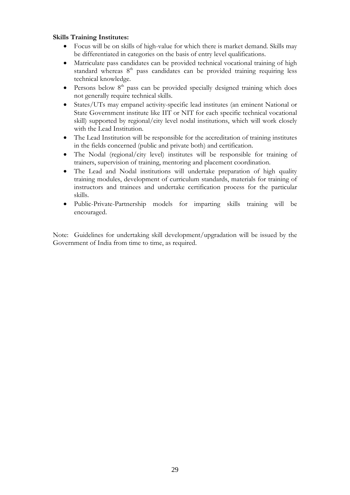## **Skills Training Institutes:**

- Focus will be on skills of high-value for which there is market demand. Skills may be differentiated in categories on the basis of entry level qualifications.
- Matriculate pass candidates can be provided technical vocational training of high standard whereas 8<sup>th</sup> pass candidates can be provided training requiring less technical knowledge.
- Persons below  $8<sup>th</sup>$  pass can be provided specially designed training which does not generally require technical skills.
- States/UTs may empanel activity-specific lead institutes (an eminent National or State Government institute like IIT or NIT for each specific technical vocational skill) supported by regional/city level nodal institutions, which will work closely with the Lead Institution.
- The Lead Institution will be responsible for the accreditation of training institutes in the fields concerned (public and private both) and certification.
- The Nodal (regional/city level) institutes will be responsible for training of trainers, supervision of training, mentoring and placement coordination.
- The Lead and Nodal institutions will undertake preparation of high quality training modules, development of curriculum standards, materials for training of instructors and trainees and undertake certification process for the particular skills.
- Public-Private-Partnership models for imparting skills training will be encouraged.

Note: Guidelines for undertaking skill development/upgradation will be issued by the Government of India from time to time, as required.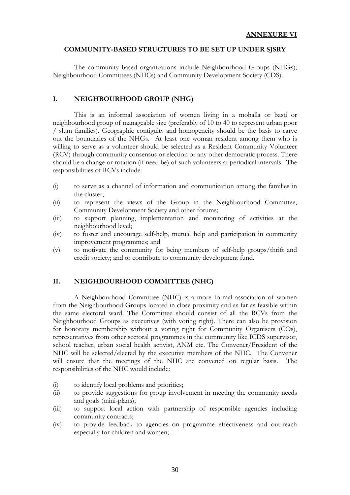### **COMMUNITY-BASED STRUCTURES TO BE SET UP UNDER SJSRY**

 The community based organizations include Neighbourhood Groups (NHGs); Neighbourhood Committees (NHCs) and Community Development Society (CDS).

## **I. NEIGHBOURHOOD GROUP (NHG)**

 This is an informal association of women living in a mohalla or basti or neighbourhood group of manageable size (preferably of 10 to 40 to represent urban poor / slum families). Geographic contiguity and homogeneity should be the basis to carve out the boundaries of the NHGs. At least one woman resident among them who is willing to serve as a volunteer should be selected as a Resident Community Volunteer (RCV) through community consensus or election or any other democratic process. There should be a change or rotation (if need be) of such volunteers at periodical intervals. The responsibilities of RCVs include:

- (i) to serve as a channel of information and communication among the families in the cluster;
- (ii) to represent the views of the Group in the Neighbourhood Committee, Community Development Society and other forums;
- (iii) to support planning, implementation and monitoring of activities at the neighbourhood level;
- (iv) to foster and encourage self-help, mutual help and participation in community improvement programmes; and
- (v) to motivate the community for being members of self-help groups/thrift and credit society; and to contribute to community development fund.

## **II. NEIGHBOURHOOD COMMITTEE (NHC)**

 A Neighbourhood Committee (NHC) is a more formal association of women from the Neighbourhood Groups located in close proximity and as far as feasible within the same electoral ward. The Committee should consist of all the RCVs from the Neighbourhood Groups as executives (with voting right). There can also be provision for honorary membership without a voting right for Community Organisers (COs), representatives from other sectoral programmes in the community like ICDS supervisor, school teacher, urban social health activist, ANM etc. The Convener/President of the NHC will be selected/elected by the executive members of the NHC. The Convener will ensure that the meetings of the NHC are convened on regular basis. The responsibilities of the NHC would include:

- (i) to identify local problems and priorities;
- (ii) to provide suggestions for group involvement in meeting the community needs and goals (mini-plans);
- (iii) to support local action with partnership of responsible agencies including community contracts;
- (iv) to provide feedback to agencies on programme effectiveness and out-reach especially for children and women;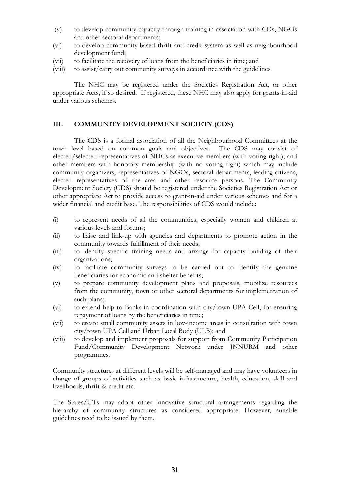- (v) to develop community capacity through training in association with COs, NGOs and other sectoral departments;
- (vi) to develop community-based thrift and credit system as well as neighbourhood development fund;
- (vii) to facilitate the recovery of loans from the beneficiaries in time; and
- (viii) to assist/carry out community surveys in accordance with the guidelines.

 The NHC may be registered under the Societies Registration Act, or other appropriate Acts, if so desired. If registered, these NHC may also apply for grants-in-aid under various schemes.

## **III. COMMUNITY DEVELOPMENT SOCIETY (CDS)**

 The CDS is a formal association of all the Neighbourhood Committees at the town level based on common goals and objectives. The CDS may consist of elected/selected representatives of NHCs as executive members (with voting right); and other members with honorary membership (with no voting right) which may include community organizers, representatives of NGOs, sectoral departments, leading citizens, elected representatives of the area and other resource persons. The Community Development Society (CDS) should be registered under the Societies Registration Act or other appropriate Act to provide access to grant-in-aid under various schemes and for a wider financial and credit base. The responsibilities of CDS would include:

- (i) to represent needs of all the communities, especially women and children at various levels and forums;
- (ii) to liaise and link-up with agencies and departments to promote action in the community towards fulfillment of their needs;
- (iii) to identify specific training needs and arrange for capacity building of their organizations;
- (iv) to facilitate community surveys to be carried out to identify the genuine beneficiaries for economic and shelter benefits;
- (v) to prepare community development plans and proposals, mobilize resources from the community, town or other sectoral departments for implementation of such plans;
- (vi) to extend help to Banks in coordination with city/town UPA Cell, for ensuring repayment of loans by the beneficiaries in time;
- (vii) to create small community assets in low-income areas in consultation with town city/town UPA Cell and Urban Local Body (ULB); and
- (viii) to develop and implement proposals for support from Community Participation Fund/Community Development Network under JNNURM and other programmes.

Community structures at different levels will be self-managed and may have volunteers in charge of groups of activities such as basic infrastructure, health, education, skill and livelihoods, thrift & credit etc.

The States/UTs may adopt other innovative structural arrangements regarding the hierarchy of community structures as considered appropriate. However, suitable guidelines need to be issued by them.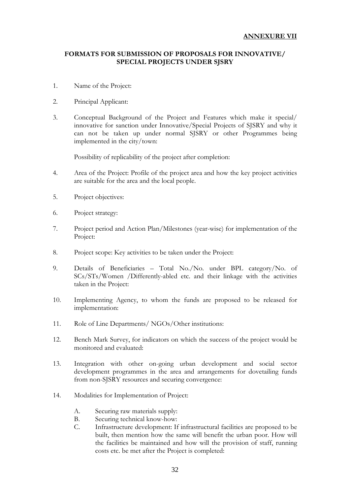## **FORMATS FOR SUBMISSION OF PROPOSALS FOR INNOVATIVE/ SPECIAL PROJECTS UNDER SJSRY**

- 1. Name of the Project:
- 2. Principal Applicant:
- 3. Conceptual Background of the Project and Features which make it special/ innovative for sanction under Innovative/Special Projects of SJSRY and why it can not be taken up under normal SJSRY or other Programmes being implemented in the city/town:

Possibility of replicability of the project after completion:

- 4. Area of the Project: Profile of the project area and how the key project activities are suitable for the area and the local people.
- 5. Project objectives:
- 6. Project strategy:
- 7. Project period and Action Plan/Milestones (year-wise) for implementation of the Project:
- 8. Project scope: Key activities to be taken under the Project:
- 9. Details of Beneficiaries Total No./No. under BPL category/No. of SCs/STs/Women /Differently-abled etc. and their linkage with the activities taken in the Project:
- 10. Implementing Agency, to whom the funds are proposed to be released for implementation:
- 11. Role of Line Departments/ NGOs/Other institutions:
- 12. Bench Mark Survey, for indicators on which the success of the project would be monitored and evaluated:
- 13. Integration with other on-going urban development and social sector development programmes in the area and arrangements for dovetailing funds from non-SJSRY resources and securing convergence:
- 14. Modalities for Implementation of Project:
	- A. Securing raw materials supply:
	- B. Securing technical know-how:
	- C. Infrastructure development: If infrastructural facilities are proposed to be built, then mention how the same will benefit the urban poor. How will the facilities be maintained and how will the provision of staff, running costs etc. be met after the Project is completed: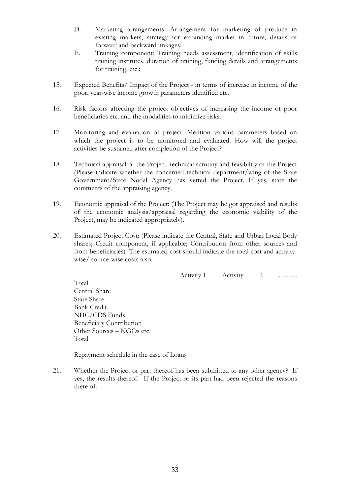- D. Marketing arrangements: Arrangement for marketing of produce in existing markets, strategy for expanding market in future, details of forward and backward linkages:
- E. Training component: Training needs assessment, identification of skills training institutes, duration of training, funding details and arrangements for training, etc.:
- 15. Expected Benefits/ Impact of the Project in terms of increase in income of the poor, year-wise income growth parameters identified etc.
- 16. Risk factors affecting the project objectives of increasing the income of poor beneficiaries etc. and the modalities to minimize risks.
- 17. Monitoring and evaluation of project: Mention various parameters based on which the project is to be monitored and evaluated. How will the project activities be sustained after completion of the Project?
- 18. Technical appraisal of the Project: technical scrutiny and feasibility of the Project (Please indicate whether the concerned technical department/wing of the State Government/State Nodal Agency has vetted the Project. If yes, state the comments of the appraising agency.
- 19. Economic appraisal of the Project: (The Project may be got appraised and results of the economic analysis/appraisal regarding the economic viability of the Project, may be indicated appropriately).
- 20. Estimated Project Cost: (Please indicate the Central, State and Urban Local Body shares; Credit component, if applicable; Contribution from other sources and from beneficiaries). The estimated cost should indicate the total cost and activitywise/ source-wise costs also.

Activity 1 Activity 2 …… Total Central Share State Share Bank Credit NHC/CDS Funds Beneficiary Contribution Other Sources – NGOs etc. Total

Repayment schedule in the case of Loans

21. Whether the Project or part thereof has been submitted to any other agency? If yes, the results thereof. If the Project or its part had been rejected the reasons there of.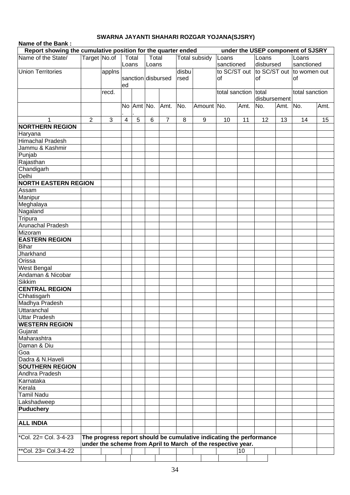## **SWARNA JAYANTI SHAHARI ROZGAR YOJANA(SJSRY)**

| Name of the Bank:                  |                                                                                                   |        |                |                |   |                    |       |                                                                     |                      |      |              |          |                                        |      |
|------------------------------------|---------------------------------------------------------------------------------------------------|--------|----------------|----------------|---|--------------------|-------|---------------------------------------------------------------------|----------------------|------|--------------|----------|----------------------------------------|------|
|                                    | Report showing the cumulative position for the quarter ended<br>under the USEP component of SJSRY |        |                |                |   |                    |       |                                                                     |                      |      |              |          |                                        |      |
| Name of the State/                 | Target No.of<br>Total<br>Total<br><b>Total subsidy</b>                                            |        |                |                |   |                    |       |                                                                     |                      |      | Loans        |          | Loans                                  |      |
|                                    |                                                                                                   |        |                | Loans<br>Loans |   |                    |       |                                                                     | sanctioned           |      | disbursed    |          | sanctioned                             |      |
| <b>Union Territories</b>           |                                                                                                   | applns |                |                |   |                    | disbu |                                                                     |                      |      |              |          | to SC/ST out to SC/ST out to women out |      |
|                                    |                                                                                                   |        |                |                |   | sanction disbursed | rsed  |                                                                     | <b>of</b>            |      | <b>of</b>    |          | lof                                    |      |
|                                    |                                                                                                   |        | ed             |                |   |                    |       |                                                                     |                      |      |              |          |                                        |      |
|                                    |                                                                                                   | recd.  |                |                |   |                    |       |                                                                     | total sanction total |      |              |          | total sanction                         |      |
|                                    |                                                                                                   |        |                |                |   |                    |       |                                                                     |                      |      | disbursement |          |                                        |      |
|                                    |                                                                                                   |        |                | No Amt No.     |   | Amt.               | No.   | Amount No.                                                          |                      | Amt. | No.          | Amt. No. |                                        | Amt. |
|                                    |                                                                                                   |        |                |                |   |                    |       |                                                                     |                      |      |              |          |                                        |      |
| 1                                  | $\overline{2}$                                                                                    | 3      | $\overline{4}$ | 5              | 6 | $\overline{7}$     | 8     | 9                                                                   | 10                   | 11   | 12           | 13       | 14                                     | 15   |
| <b>NORTHERN REGION</b>             |                                                                                                   |        |                |                |   |                    |       |                                                                     |                      |      |              |          |                                        |      |
| Haryana<br><b>Himachal Pradesh</b> |                                                                                                   |        |                |                |   |                    |       |                                                                     |                      |      |              |          |                                        |      |
| Jammu & Kashmir                    |                                                                                                   |        |                |                |   |                    |       |                                                                     |                      |      |              |          |                                        |      |
| Punjab                             |                                                                                                   |        |                |                |   |                    |       |                                                                     |                      |      |              |          |                                        |      |
| Rajasthan                          |                                                                                                   |        |                |                |   |                    |       |                                                                     |                      |      |              |          |                                        |      |
| Chandigarh                         |                                                                                                   |        |                |                |   |                    |       |                                                                     |                      |      |              |          |                                        |      |
| Delhi                              |                                                                                                   |        |                |                |   |                    |       |                                                                     |                      |      |              |          |                                        |      |
| <b>NORTH EASTERN REGION</b>        |                                                                                                   |        |                |                |   |                    |       |                                                                     |                      |      |              |          |                                        |      |
| Assam                              |                                                                                                   |        |                |                |   |                    |       |                                                                     |                      |      |              |          |                                        |      |
| Manipur                            |                                                                                                   |        |                |                |   |                    |       |                                                                     |                      |      |              |          |                                        |      |
| Meghalaya                          |                                                                                                   |        |                |                |   |                    |       |                                                                     |                      |      |              |          |                                        |      |
| Nagaland                           |                                                                                                   |        |                |                |   |                    |       |                                                                     |                      |      |              |          |                                        |      |
| <b>Tripura</b>                     |                                                                                                   |        |                |                |   |                    |       |                                                                     |                      |      |              |          |                                        |      |
| Arunachal Pradesh                  |                                                                                                   |        |                |                |   |                    |       |                                                                     |                      |      |              |          |                                        |      |
| Mizoram                            |                                                                                                   |        |                |                |   |                    |       |                                                                     |                      |      |              |          |                                        |      |
| <b>EASTERN REGION</b>              |                                                                                                   |        |                |                |   |                    |       |                                                                     |                      |      |              |          |                                        |      |
| Bihar                              |                                                                                                   |        |                |                |   |                    |       |                                                                     |                      |      |              |          |                                        |      |
| Jharkhand                          |                                                                                                   |        |                |                |   |                    |       |                                                                     |                      |      |              |          |                                        |      |
| <b>Orissa</b>                      |                                                                                                   |        |                |                |   |                    |       |                                                                     |                      |      |              |          |                                        |      |
| <b>West Bengal</b>                 |                                                                                                   |        |                |                |   |                    |       |                                                                     |                      |      |              |          |                                        |      |
| Andaman & Nicobar                  |                                                                                                   |        |                |                |   |                    |       |                                                                     |                      |      |              |          |                                        |      |
| <b>Sikkim</b>                      |                                                                                                   |        |                |                |   |                    |       |                                                                     |                      |      |              |          |                                        |      |
| <b>CENTRAL REGION</b>              |                                                                                                   |        |                |                |   |                    |       |                                                                     |                      |      |              |          |                                        |      |
| Chhatisgarh                        |                                                                                                   |        |                |                |   |                    |       |                                                                     |                      |      |              |          |                                        |      |
| Madhya Pradesh                     |                                                                                                   |        |                |                |   |                    |       |                                                                     |                      |      |              |          |                                        |      |
| Uttaranchal                        |                                                                                                   |        |                |                |   |                    |       |                                                                     |                      |      |              |          |                                        |      |
| <b>Uttar Pradesh</b>               |                                                                                                   |        |                |                |   |                    |       |                                                                     |                      |      |              |          |                                        |      |
| <b>WESTERN REGION</b>              |                                                                                                   |        |                |                |   |                    |       |                                                                     |                      |      |              |          |                                        |      |
| Gujarat                            |                                                                                                   |        |                |                |   |                    |       |                                                                     |                      |      |              |          |                                        |      |
| Maharashtra                        |                                                                                                   |        |                |                |   |                    |       |                                                                     |                      |      |              |          |                                        |      |
| Daman & Diu                        |                                                                                                   |        |                |                |   |                    |       |                                                                     |                      |      |              |          |                                        |      |
| Goa                                |                                                                                                   |        |                |                |   |                    |       |                                                                     |                      |      |              |          |                                        |      |
| Dadra & N.Haveli                   |                                                                                                   |        |                |                |   |                    |       |                                                                     |                      |      |              |          |                                        |      |
| <b>SOUTHERN REGION</b>             |                                                                                                   |        |                |                |   |                    |       |                                                                     |                      |      |              |          |                                        |      |
| Andhra Pradesh                     |                                                                                                   |        |                |                |   |                    |       |                                                                     |                      |      |              |          |                                        |      |
| Karnataka                          |                                                                                                   |        |                |                |   |                    |       |                                                                     |                      |      |              |          |                                        |      |
| Kerala                             |                                                                                                   |        |                |                |   |                    |       |                                                                     |                      |      |              |          |                                        |      |
| <b>Tamil Nadu</b>                  |                                                                                                   |        |                |                |   |                    |       |                                                                     |                      |      |              |          |                                        |      |
| Lakshadweep                        |                                                                                                   |        |                |                |   |                    |       |                                                                     |                      |      |              |          |                                        |      |
| Puduchery                          |                                                                                                   |        |                |                |   |                    |       |                                                                     |                      |      |              |          |                                        |      |
|                                    |                                                                                                   |        |                |                |   |                    |       |                                                                     |                      |      |              |          |                                        |      |
| <b>ALL INDIA</b>                   |                                                                                                   |        |                |                |   |                    |       |                                                                     |                      |      |              |          |                                        |      |
|                                    |                                                                                                   |        |                |                |   |                    |       |                                                                     |                      |      |              |          |                                        |      |
| *Col. 22= Col. 3-4-23              |                                                                                                   |        |                |                |   |                    |       | The progress report should be cumulative indicating the performance |                      |      |              |          |                                        |      |
|                                    |                                                                                                   |        |                |                |   |                    |       | under the scheme from April to March of the respective year.        |                      |      |              |          |                                        |      |
| **Col. 23= Col.3-4-22              |                                                                                                   |        |                |                |   |                    |       |                                                                     |                      | 10   |              |          |                                        |      |
|                                    |                                                                                                   |        |                |                |   |                    |       |                                                                     |                      |      |              |          |                                        |      |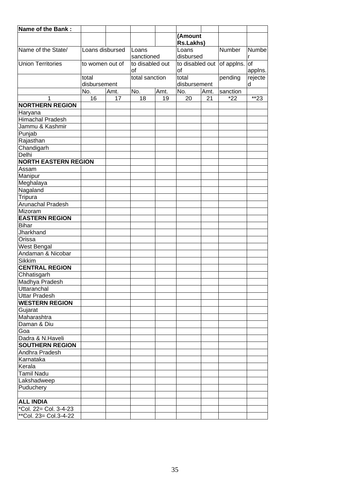| Name of the Bank:           |                 |      |                 |      |              |      |                            |         |
|-----------------------------|-----------------|------|-----------------|------|--------------|------|----------------------------|---------|
|                             |                 |      |                 |      | (Amount      |      |                            |         |
|                             |                 |      |                 |      | Rs.Lakhs)    |      |                            |         |
| Name of the State/          | Loans disbursed |      | Loans           |      | Loans        |      | Number                     | Numbe   |
|                             |                 |      | sanctioned      |      | disbursed    |      |                            | r       |
| <b>Union Territories</b>    | to women out of |      | to disabled out |      |              |      | to disabled out of applns. | lof     |
|                             |                 |      | οf              |      | <b>of</b>    |      |                            | applns. |
|                             | total           |      | total sanction  |      | total        |      | pending                    | rejecte |
|                             | disbursement    |      |                 |      | disbursement |      |                            | d       |
|                             | No.             | Amt. | No.             | Amt. | No.          | Amt. | sanction                   |         |
| 1                           | 16              | 17   | 18              | 19   | 20           | 21   | $*22$                      | $*23$   |
| <b>NORTHERN REGION</b>      |                 |      |                 |      |              |      |                            |         |
| Haryana                     |                 |      |                 |      |              |      |                            |         |
| <b>Himachal Pradesh</b>     |                 |      |                 |      |              |      |                            |         |
| Jammu & Kashmir             |                 |      |                 |      |              |      |                            |         |
| Punjab                      |                 |      |                 |      |              |      |                            |         |
| Rajasthan                   |                 |      |                 |      |              |      |                            |         |
| Chandigarh                  |                 |      |                 |      |              |      |                            |         |
| Delhi                       |                 |      |                 |      |              |      |                            |         |
| <b>NORTH EASTERN REGION</b> |                 |      |                 |      |              |      |                            |         |
| Assam                       |                 |      |                 |      |              |      |                            |         |
| Manipur                     |                 |      |                 |      |              |      |                            |         |
| Meghalaya                   |                 |      |                 |      |              |      |                            |         |
| Nagaland                    |                 |      |                 |      |              |      |                            |         |
| Tripura                     |                 |      |                 |      |              |      |                            |         |
| <b>Arunachal Pradesh</b>    |                 |      |                 |      |              |      |                            |         |
| Mizoram                     |                 |      |                 |      |              |      |                            |         |
| <b>EASTERN REGION</b>       |                 |      |                 |      |              |      |                            |         |
| <b>Bihar</b>                |                 |      |                 |      |              |      |                            |         |
| Jharkhand                   |                 |      |                 |      |              |      |                            |         |
| Orissa                      |                 |      |                 |      |              |      |                            |         |
| <b>West Bengal</b>          |                 |      |                 |      |              |      |                            |         |
| Andaman & Nicobar           |                 |      |                 |      |              |      |                            |         |
| Sikkim                      |                 |      |                 |      |              |      |                            |         |
| <b>CENTRAL REGION</b>       |                 |      |                 |      |              |      |                            |         |
| Chhatisgarh                 |                 |      |                 |      |              |      |                            |         |
| Madhya Pradesh              |                 |      |                 |      |              |      |                            |         |
| Uttaranchal                 |                 |      |                 |      |              |      |                            |         |
| <b>Uttar Pradesh</b>        |                 |      |                 |      |              |      |                            |         |
| <b>WESTERN REGION</b>       |                 |      |                 |      |              |      |                            |         |
| Gujarat                     |                 |      |                 |      |              |      |                            |         |
| Maharashtra                 |                 |      |                 |      |              |      |                            |         |
| Daman & Diu                 |                 |      |                 |      |              |      |                            |         |
| Goa                         |                 |      |                 |      |              |      |                            |         |
| Dadra & N.Haveli            |                 |      |                 |      |              |      |                            |         |
| <b>SOUTHERN REGION</b>      |                 |      |                 |      |              |      |                            |         |
| Andhra Pradesh              |                 |      |                 |      |              |      |                            |         |
| İKarnataka                  |                 |      |                 |      |              |      |                            |         |
| Kerala                      |                 |      |                 |      |              |      |                            |         |
| <b>Tamil Nadu</b>           |                 |      |                 |      |              |      |                            |         |
| Lakshadweep                 |                 |      |                 |      |              |      |                            |         |
| Puduchery                   |                 |      |                 |      |              |      |                            |         |
|                             |                 |      |                 |      |              |      |                            |         |
| <b>ALL INDIA</b>            |                 |      |                 |      |              |      |                            |         |
| *Col. 22 = Col. $3-4-23$    |                 |      |                 |      |              |      |                            |         |
| **Col. 23= Col.3-4-22       |                 |      |                 |      |              |      |                            |         |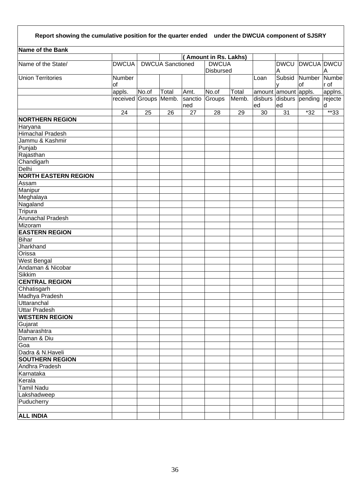# **Report showing the cumulative position for the quarter ended under the DWCUA component of SJSRY**

| Name of the Bank            |                       |       |                         |              |                             |       |      |                        |                                 |         |
|-----------------------------|-----------------------|-------|-------------------------|--------------|-----------------------------|-------|------|------------------------|---------------------------------|---------|
|                             |                       |       |                         |              | <b>Amount in Rs. Lakhs)</b> |       |      |                        |                                 |         |
| Name of the State/          | <b>DWCUA</b>          |       | <b>DWCUA Sanctioned</b> | <b>DWCUA</b> |                             |       |      | <b>DWCU DWCUA DWCU</b> |                                 |         |
|                             |                       |       |                         |              | <b>Disbursed</b>            |       |      | A                      |                                 | Α       |
| <b>Union Territories</b>    | Number                |       |                         |              |                             |       | Loan | Subsid                 | Number Numbe                    |         |
|                             | of                    |       |                         |              |                             |       |      | v                      | lof                             | r of    |
|                             | appls.                | No.of | Total                   | Amt.         | No.of                       | Total |      | amount amount appls.   |                                 | applns. |
|                             | received Groups Memb. |       |                         | sanctio      | Groups                      | Memb. |      |                        | disburs disburs pending rejecte |         |
|                             |                       |       |                         | ned          |                             |       | ed   | ed                     |                                 | d       |
|                             | 24                    | 25    | 26                      | 27           | 28                          | 29    | 30   | 31                     | $*32$                           | $*33$   |
| <b>NORTHERN REGION</b>      |                       |       |                         |              |                             |       |      |                        |                                 |         |
| Haryana                     |                       |       |                         |              |                             |       |      |                        |                                 |         |
| <b>Himachal Pradesh</b>     |                       |       |                         |              |                             |       |      |                        |                                 |         |
| Jammu & Kashmir             |                       |       |                         |              |                             |       |      |                        |                                 |         |
| Punjab                      |                       |       |                         |              |                             |       |      |                        |                                 |         |
| Rajasthan                   |                       |       |                         |              |                             |       |      |                        |                                 |         |
| Chandigarh                  |                       |       |                         |              |                             |       |      |                        |                                 |         |
| Delhi                       |                       |       |                         |              |                             |       |      |                        |                                 |         |
| <b>NORTH EASTERN REGION</b> |                       |       |                         |              |                             |       |      |                        |                                 |         |
| Assam                       |                       |       |                         |              |                             |       |      |                        |                                 |         |
| Manipur                     |                       |       |                         |              |                             |       |      |                        |                                 |         |
| Meghalaya                   |                       |       |                         |              |                             |       |      |                        |                                 |         |
| Nagaland                    |                       |       |                         |              |                             |       |      |                        |                                 |         |
| Tripura                     |                       |       |                         |              |                             |       |      |                        |                                 |         |
| <b>Arunachal Pradesh</b>    |                       |       |                         |              |                             |       |      |                        |                                 |         |
| Mizoram                     |                       |       |                         |              |                             |       |      |                        |                                 |         |
| <b>EASTERN REGION</b>       |                       |       |                         |              |                             |       |      |                        |                                 |         |
| Bihar                       |                       |       |                         |              |                             |       |      |                        |                                 |         |
| Jharkhand                   |                       |       |                         |              |                             |       |      |                        |                                 |         |
| Orissa                      |                       |       |                         |              |                             |       |      |                        |                                 |         |
| <b>West Bengal</b>          |                       |       |                         |              |                             |       |      |                        |                                 |         |
| Andaman & Nicobar           |                       |       |                         |              |                             |       |      |                        |                                 |         |
| <b>Sikkim</b>               |                       |       |                         |              |                             |       |      |                        |                                 |         |
| <b>CENTRAL REGION</b>       |                       |       |                         |              |                             |       |      |                        |                                 |         |
| Chhatisgarh                 |                       |       |                         |              |                             |       |      |                        |                                 |         |
| Madhya Pradesh              |                       |       |                         |              |                             |       |      |                        |                                 |         |
| Uttaranchal                 |                       |       |                         |              |                             |       |      |                        |                                 |         |
| <b>Uttar Pradesh</b>        |                       |       |                         |              |                             |       |      |                        |                                 |         |
| <b>WESTERN REGION</b>       |                       |       |                         |              |                             |       |      |                        |                                 |         |
| Gujarat                     |                       |       |                         |              |                             |       |      |                        |                                 |         |
| Maharashtra                 |                       |       |                         |              |                             |       |      |                        |                                 |         |
| Daman & Diu                 |                       |       |                         |              |                             |       |      |                        |                                 |         |
| Goa                         |                       |       |                         |              |                             |       |      |                        |                                 |         |
| Dadra & N.Haveli            |                       |       |                         |              |                             |       |      |                        |                                 |         |
| <b>SOUTHERN REGION</b>      |                       |       |                         |              |                             |       |      |                        |                                 |         |
| Andhra Pradesh              |                       |       |                         |              |                             |       |      |                        |                                 |         |
| Karnataka                   |                       |       |                         |              |                             |       |      |                        |                                 |         |
| Kerala                      |                       |       |                         |              |                             |       |      |                        |                                 |         |
| <b>Tamil Nadu</b>           |                       |       |                         |              |                             |       |      |                        |                                 |         |
| Lakshadweep                 |                       |       |                         |              |                             |       |      |                        |                                 |         |
| Puducherry                  |                       |       |                         |              |                             |       |      |                        |                                 |         |
|                             |                       |       |                         |              |                             |       |      |                        |                                 |         |
| <b>ALL INDIA</b>            |                       |       |                         |              |                             |       |      |                        |                                 |         |